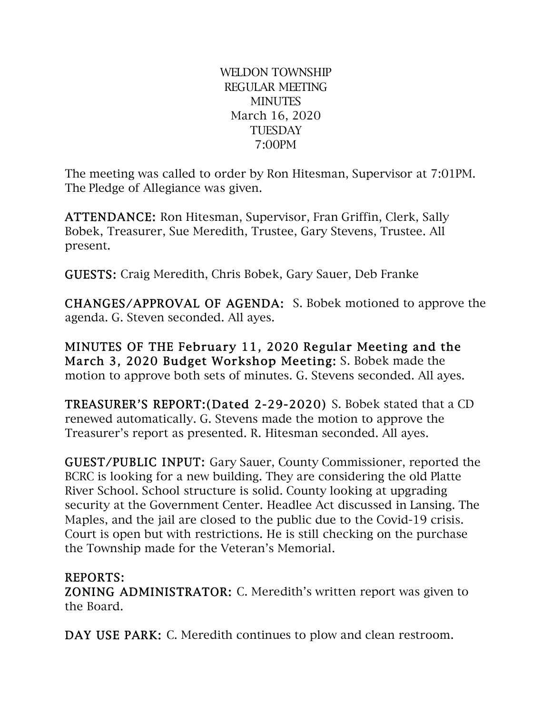WELDON TOWNSHIP REGULAR MEETING **MINUTES** March 16, 2020 **TUESDAY** 7:00PM

The meeting was called to order by Ron Hitesman, Supervisor at 7:01PM. The Pledge of Allegiance was given.

ATTENDANCE: Ron Hitesman, Supervisor, Fran Griffin, Clerk, Sally Bobek, Treasurer, Sue Meredith, Trustee, Gary Stevens, Trustee. All present.

GUESTS: Craig Meredith, Chris Bobek, Gary Sauer, Deb Franke

CHANGES/APPROVAL OF AGENDA: S. Bobek motioned to approve the agenda. G. Steven seconded. All ayes.

MINUTES OF THE February 11, 2020 Regular Meeting and the March 3, 2020 Budget Workshop Meeting: S. Bobek made the motion to approve both sets of minutes. G. Stevens seconded. All ayes.

TREASURER'S REPORT:(Dated 2-29-2020) S. Bobek stated that a CD renewed automatically. G. Stevens made the motion to approve the Treasurer's report as presented. R. Hitesman seconded. All ayes.

GUEST/PUBLIC INPUT: Gary Sauer, County Commissioner, reported the BCRC is looking for a new building. They are considering the old Platte River School. School structure is solid. County looking at upgrading security at the Government Center. Headlee Act discussed in Lansing. The Maples, and the jail are closed to the public due to the Covid-19 crisis. Court is open but with restrictions. He is still checking on the purchase the Township made for the Veteran's Memorial.

## REPORTS:

ZONING ADMINISTRATOR: C. Meredith's written report was given to the Board.

DAY USE PARK: C. Meredith continues to plow and clean restroom.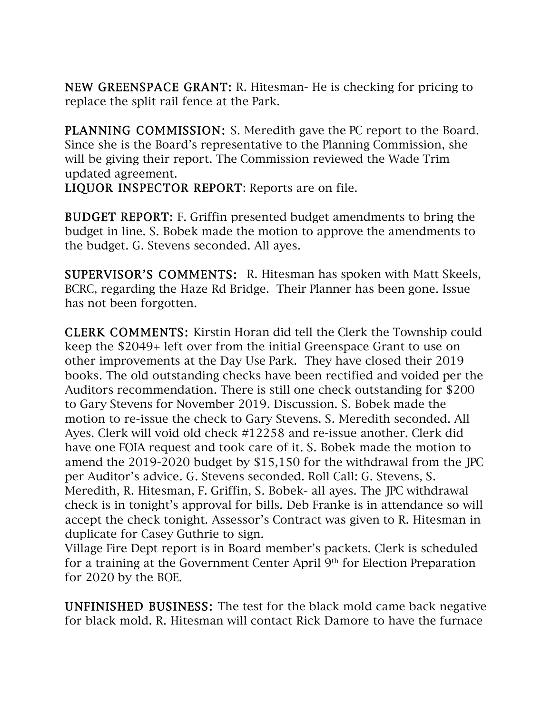NEW GREENSPACE GRANT: R. Hitesman- He is checking for pricing to replace the split rail fence at the Park.

PLANNING COMMISSION: S. Meredith gave the PC report to the Board. Since she is the Board's representative to the Planning Commission, she will be giving their report. The Commission reviewed the Wade Trim updated agreement.

LIQUOR INSPECTOR REPORT: Reports are on file.

BUDGET REPORT: F. Griffin presented budget amendments to bring the budget in line. S. Bobek made the motion to approve the amendments to the budget. G. Stevens seconded. All ayes.

SUPERVISOR'S COMMENTS: R. Hitesman has spoken with Matt Skeels, BCRC, regarding the Haze Rd Bridge. Their Planner has been gone. Issue has not been forgotten.

CLERK COMMENTS: Kirstin Horan did tell the Clerk the Township could keep the \$2049+ left over from the initial Greenspace Grant to use on other improvements at the Day Use Park. They have closed their 2019 books. The old outstanding checks have been rectified and voided per the Auditors recommendation. There is still one check outstanding for \$200 to Gary Stevens for November 2019. Discussion. S. Bobek made the motion to re-issue the check to Gary Stevens. S. Meredith seconded. All Ayes. Clerk will void old check #12258 and re-issue another. Clerk did have one FOIA request and took care of it. S. Bobek made the motion to amend the 2019-2020 budget by \$15,150 for the withdrawal from the JPC per Auditor's advice. G. Stevens seconded. Roll Call: G. Stevens, S. Meredith, R. Hitesman, F. Griffin, S. Bobek- all ayes. The JPC withdrawal check is in tonight's approval for bills. Deb Franke is in attendance so will accept the check tonight. Assessor's Contract was given to R. Hitesman in duplicate for Casey Guthrie to sign.

Village Fire Dept report is in Board member's packets. Clerk is scheduled for a training at the Government Center April 9th for Election Preparation for 2020 by the BOE.

UNFINISHED BUSINESS: The test for the black mold came back negative for black mold. R. Hitesman will contact Rick Damore to have the furnace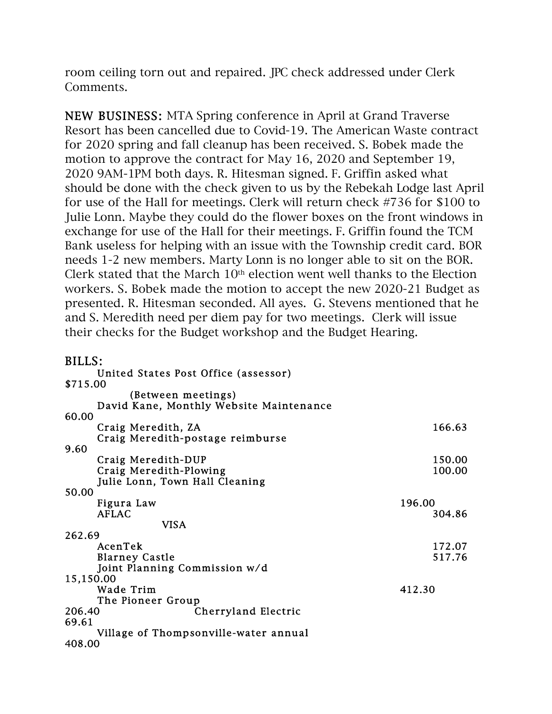room ceiling torn out and repaired. JPC check addressed under Clerk Comments.

NEW BUSINESS: MTA Spring conference in April at Grand Traverse Resort has been cancelled due to Covid-19. The American Waste contract for 2020 spring and fall cleanup has been received. S. Bobek made the motion to approve the contract for May 16, 2020 and September 19, 2020 9AM-1PM both days. R. Hitesman signed. F. Griffin asked what should be done with the check given to us by the Rebekah Lodge last April for use of the Hall for meetings. Clerk will return check #736 for \$100 to Julie Lonn. Maybe they could do the flower boxes on the front windows in exchange for use of the Hall for their meetings. F. Griffin found the TCM Bank useless for helping with an issue with the Township credit card. BOR needs 1-2 new members. Marty Lonn is no longer able to sit on the BOR. Clerk stated that the March  $10<sup>th</sup>$  election went well thanks to the Election workers. S. Bobek made the motion to accept the new 2020-21 Budget as presented. R. Hitesman seconded. All ayes. G. Stevens mentioned that he and S. Meredith need per diem pay for two meetings. Clerk will issue their checks for the Budget workshop and the Budget Hearing.

## $RIIIC$

| United States Post Office (assessor)    |        |
|-----------------------------------------|--------|
| \$715.00                                |        |
| (Between meetings)                      |        |
| David Kane, Monthly Website Maintenance |        |
| 60.00                                   |        |
| Craig Meredith, ZA                      | 166.63 |
| Craig Meredith-postage reimburse        |        |
| 9.60                                    |        |
| Craig Meredith-DUP                      | 150.00 |
| Craig Meredith-Plowing                  | 100.00 |
| Julie Lonn, Town Hall Cleaning          |        |
| 50.00                                   |        |
| Figura Law                              | 196.00 |
| <b>AFLAC</b>                            | 304.86 |
| VISA                                    |        |
| 262.69                                  |        |
| AcenTek                                 | 172.07 |
| <b>Blarney Castle</b>                   | 517.76 |
| Joint Planning Commission w/d           |        |
| 15,150.00                               |        |
| Wade Trim                               | 412.30 |
| The Pioneer Group                       |        |
| Cherryland Electric<br>206.40           |        |
| 69.61                                   |        |
| Village of Thompsonville-water annual   |        |
| 408.00                                  |        |